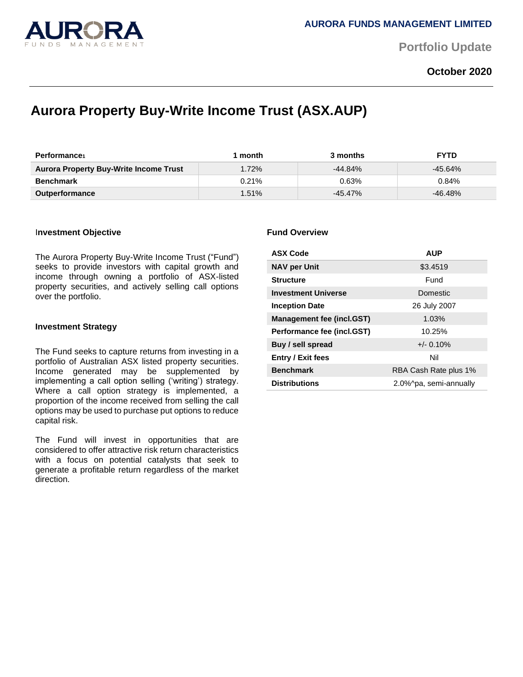

**Portfolio Update** 

## **October 2020**

# **Aurora Property Buy-Write Income Trust (ASX.AUP)**

| <b>Performance</b>                            | month    | 3 months  | <b>FYTD</b> |
|-----------------------------------------------|----------|-----------|-------------|
| <b>Aurora Property Buy-Write Income Trust</b> | 1.72%    | $-44.84%$ | $-45.64\%$  |
| <b>Benchmark</b>                              | $0.21\%$ | 0.63%     | 0.84%       |
| <b>Outperformance</b>                         | 1.51%    | -45.47%   | $-46.48%$   |

#### I**nvestment Objective**

The Aurora Property Buy-Write Income Trust ("Fund") seeks to provide investors with capital growth and income through owning a portfolio of ASX-listed property securities, and actively selling call options over the portfolio.

#### **Investment Strategy**

The Fund seeks to capture returns from investing in a portfolio of Australian ASX listed property securities. Income generated may be supplemented by implementing a call option selling ('writing') strategy. Where a call option strategy is implemented, a proportion of the income received from selling the call options may be used to purchase put options to reduce capital risk.

The Fund will invest in opportunities that are considered to offer attractive risk return characteristics with a focus on potential catalysts that seek to generate a profitable return regardless of the market direction.

#### **Fund Overview**

| <b>ASX Code</b>                  | <b>AUP</b>             |  |
|----------------------------------|------------------------|--|
| <b>NAV per Unit</b>              | \$3.4519               |  |
| <b>Structure</b>                 | Fund                   |  |
| <b>Investment Universe</b>       | Domestic               |  |
| <b>Inception Date</b>            | 26 July 2007           |  |
| <b>Management fee (incl.GST)</b> | 1.03%                  |  |
| Performance fee (incl.GST)       | 10.25%                 |  |
| Buy / sell spread                | $+/- 0.10%$            |  |
| <b>Entry / Exit fees</b>         | Nil                    |  |
| <b>Benchmark</b>                 | RBA Cash Rate plus 1%  |  |
| <b>Distributions</b>             | 2.0%^pa, semi-annually |  |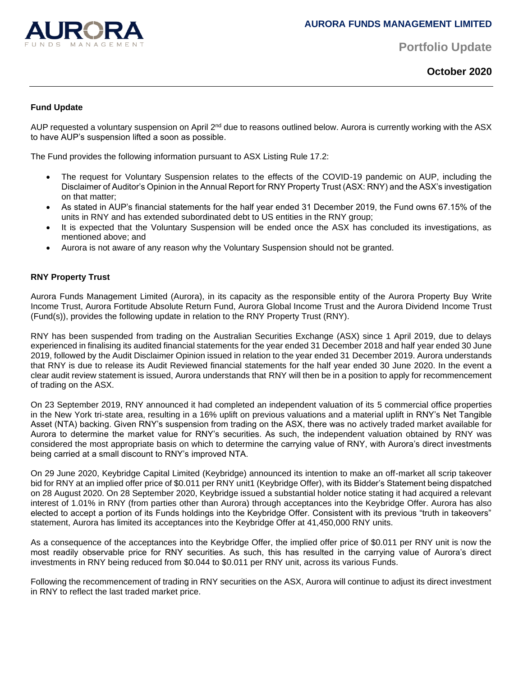

**Portfolio Update** 

**October 2020**

### **Fund Update**

AUP requested a voluntary suspension on April 2<sup>nd</sup> due to reasons outlined below. Aurora is currently working with the ASX to have AUP's suspension lifted a soon as possible.

The Fund provides the following information pursuant to ASX Listing Rule 17.2:

- The request for Voluntary Suspension relates to the effects of the COVID-19 pandemic on AUP, including the Disclaimer of Auditor's Opinion in the Annual Report for RNY Property Trust (ASX: RNY) and the ASX's investigation on that matter;
- As stated in AUP's financial statements for the half year ended 31 December 2019, the Fund owns 67.15% of the units in RNY and has extended subordinated debt to US entities in the RNY group;
- It is expected that the Voluntary Suspension will be ended once the ASX has concluded its investigations, as mentioned above; and
- Aurora is not aware of any reason why the Voluntary Suspension should not be granted.

### **RNY Property Trust**

Aurora Funds Management Limited (Aurora), in its capacity as the responsible entity of the Aurora Property Buy Write Income Trust, Aurora Fortitude Absolute Return Fund, Aurora Global Income Trust and the Aurora Dividend Income Trust (Fund(s)), provides the following update in relation to the RNY Property Trust (RNY).

RNY has been suspended from trading on the Australian Securities Exchange (ASX) since 1 April 2019, due to delays experienced in finalising its audited financial statements for the year ended 31 December 2018 and half year ended 30 June 2019, followed by the Audit Disclaimer Opinion issued in relation to the year ended 31 December 2019. Aurora understands that RNY is due to release its Audit Reviewed financial statements for the half year ended 30 June 2020. In the event a clear audit review statement is issued, Aurora understands that RNY will then be in a position to apply for recommencement of trading on the ASX.

On 23 September 2019, RNY announced it had completed an independent valuation of its 5 commercial office properties in the New York tri-state area, resulting in a 16% uplift on previous valuations and a material uplift in RNY's Net Tangible Asset (NTA) backing. Given RNY's suspension from trading on the ASX, there was no actively traded market available for Aurora to determine the market value for RNY's securities. As such, the independent valuation obtained by RNY was considered the most appropriate basis on which to determine the carrying value of RNY, with Aurora's direct investments being carried at a small discount to RNY's improved NTA.

On 29 June 2020, Keybridge Capital Limited (Keybridge) announced its intention to make an off-market all scrip takeover bid for RNY at an implied offer price of \$0.011 per RNY unit1 (Keybridge Offer), with its Bidder's Statement being dispatched on 28 August 2020. On 28 September 2020, Keybridge issued a substantial holder notice stating it had acquired a relevant interest of 1.01% in RNY (from parties other than Aurora) through acceptances into the Keybridge Offer. Aurora has also elected to accept a portion of its Funds holdings into the Keybridge Offer. Consistent with its previous "truth in takeovers" statement, Aurora has limited its acceptances into the Keybridge Offer at 41,450,000 RNY units.

As a consequence of the acceptances into the Keybridge Offer, the implied offer price of \$0.011 per RNY unit is now the most readily observable price for RNY securities. As such, this has resulted in the carrying value of Aurora's direct investments in RNY being reduced from \$0.044 to \$0.011 per RNY unit, across its various Funds.

Following the recommencement of trading in RNY securities on the ASX, Aurora will continue to adjust its direct investment in RNY to reflect the last traded market price.